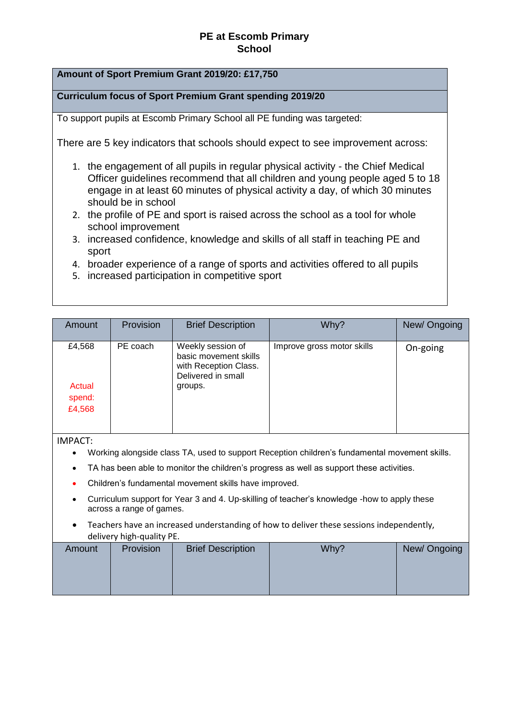## **Amount of Sport Premium Grant 2019/20: £17,750**

**Curriculum focus of Sport Premium Grant spending 2019/20** 

To support pupils at Escomb Primary School all PE funding was targeted:

There are 5 key indicators that schools should expect to see improvement across:

- 1. the engagement of all pupils in regular physical activity the Chief Medical Officer guidelines recommend that all children and young people aged 5 to 18 engage in at least 60 minutes of physical activity a day, of which 30 minutes should be in school
- 2. the profile of PE and sport is raised across the school as a tool for whole school improvement
- 3. increased confidence, knowledge and skills of all staff in teaching PE and sport
- 4. broader experience of a range of sports and activities offered to all pupils
- 5. increased participation in competitive sport

| Amount                     | Provision | <b>Brief Description</b>                                                                  | Why?                       | New/Ongoing |
|----------------------------|-----------|-------------------------------------------------------------------------------------------|----------------------------|-------------|
| £4,568                     | PE coach  | Weekly session of<br>basic movement skills<br>with Reception Class.<br>Delivered in small | Improve gross motor skills | On-going    |
| Actual<br>spend:<br>£4,568 |           | groups.                                                                                   |                            |             |
|                            |           |                                                                                           |                            |             |

IMPACT:

- Working alongside class TA, used to support Reception children's fundamental movement skills.
- TA has been able to monitor the children's progress as well as support these activities.
- Children's fundamental movement skills have improved.
- Curriculum support for Year 3 and 4. Up-skilling of teacher's knowledge -how to apply these across a range of games.
- Teachers have an increased understanding of how to deliver these sessions independently, delivery high-quality PE.

| Amount | Provision | <b>Brief Description</b> | Why? | New/Ongoing |
|--------|-----------|--------------------------|------|-------------|
|        |           |                          |      |             |
|        |           |                          |      |             |
|        |           |                          |      |             |
|        |           |                          |      |             |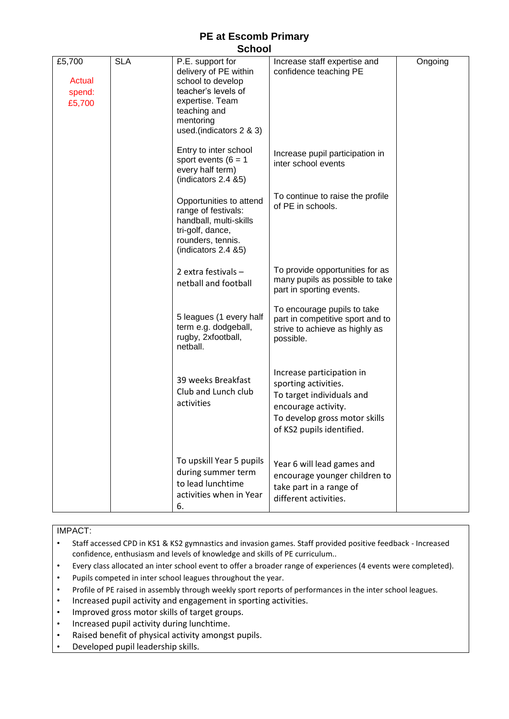| £5,700<br><b>Actual</b><br>spend:<br>£5,700 | <b>SLA</b> | P.E. support for<br>delivery of PE within<br>school to develop<br>teacher's levels of<br>expertise. Team<br>teaching and<br>mentoring<br>used.(indicators 2 & 3) | Increase staff expertise and<br>confidence teaching PE                                                                                                              | Ongoing |
|---------------------------------------------|------------|------------------------------------------------------------------------------------------------------------------------------------------------------------------|---------------------------------------------------------------------------------------------------------------------------------------------------------------------|---------|
|                                             |            | Entry to inter school<br>sport events ( $6 = 1$<br>every half term)<br>(indicators 2.4 &5)                                                                       | Increase pupil participation in<br>inter school events                                                                                                              |         |
|                                             |            | Opportunities to attend<br>range of festivals:<br>handball, multi-skills<br>tri-golf, dance,<br>rounders, tennis.<br>(indicators 2.4 &5)                         | To continue to raise the profile<br>of PE in schools.                                                                                                               |         |
|                                             |            | 2 extra festivals $-$<br>netball and football                                                                                                                    | To provide opportunities for as<br>many pupils as possible to take<br>part in sporting events.                                                                      |         |
|                                             |            | 5 leagues (1 every half<br>term e.g. dodgeball,<br>rugby, 2xfootball,<br>netball.                                                                                | To encourage pupils to take<br>part in competitive sport and to<br>strive to achieve as highly as<br>possible.                                                      |         |
|                                             |            | 39 weeks Breakfast<br>Club and Lunch club<br>activities                                                                                                          | Increase participation in<br>sporting activities.<br>To target individuals and<br>encourage activity.<br>To develop gross motor skills<br>of KS2 pupils identified. |         |
|                                             |            | To upskill Year 5 pupils<br>during summer term<br>to lead lunchtime<br>activities when in Year<br>6.                                                             | Year 6 will lead games and<br>encourage younger children to<br>take part in a range of<br>different activities.                                                     |         |

### IMPACT:

• Staff accessed CPD in KS1 & KS2 gymnastics and invasion games. Staff provided positive feedback - Increased confidence, enthusiasm and levels of knowledge and skills of PE curriculum..

- Every class allocated an inter school event to offer a broader range of experiences (4 events were completed).
- Pupils competed in inter school leagues throughout the year.
- Profile of PE raised in assembly through weekly sport reports of performances in the inter school leagues.
- Increased pupil activity and engagement in sporting activities.
- Improved gross motor skills of target groups.
- Increased pupil activity during lunchtime.
- Raised benefit of physical activity amongst pupils.
- Developed pupil leadership skills.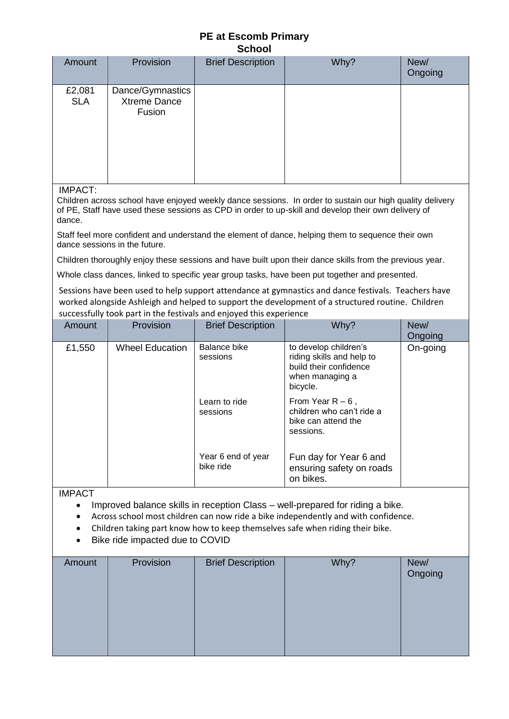| <u>ouiuui</u>        |                                            |                          |      |                 |  |
|----------------------|--------------------------------------------|--------------------------|------|-----------------|--|
| Amount               | Provision                                  | <b>Brief Description</b> | Why? | New/<br>Ongoing |  |
| £2,081<br><b>SLA</b> | Dance/Gymnastics<br>Xtreme Dance<br>Fusion |                          |      |                 |  |

IMPACT:

Children across school have enjoyed weekly dance sessions. In order to sustain our high quality delivery of PE, Staff have used these sessions as CPD in order to up-skill and develop their own delivery of dance.

Staff feel more confident and understand the element of dance, helping them to sequence their own dance sessions in the future.

Children thoroughly enjoy these sessions and have built upon their dance skills from the previous year.

Whole class dances, linked to specific year group tasks, have been put together and presented.

Sessions have been used to help support attendance at gymnastics and dance festivals. Teachers have worked alongside Ashleigh and helped to support the development of a structured routine. Children successfully took part in the festivals and enjoyed this experience

| Amount | Provision              | <b>Brief Description</b>        | Why?                                                                                                        | New/<br>Ongoing |
|--------|------------------------|---------------------------------|-------------------------------------------------------------------------------------------------------------|-----------------|
| £1,550 | <b>Wheel Education</b> | Balance bike<br>sessions        | to develop children's<br>riding skills and help to<br>build their confidence<br>when managing a<br>bicycle. | On-going        |
|        |                        | Learn to ride<br>sessions       | From Year $R - 6$ ,<br>children who can't ride a<br>bike can attend the<br>sessions.                        |                 |
|        |                        | Year 6 end of year<br>bike ride | Fun day for Year 6 and<br>ensuring safety on roads<br>on bikes.                                             |                 |

IMPACT

- Improved balance skills in reception Class well-prepared for riding a bike.
- Across school most children can now ride a bike independently and with confidence.
- Children taking part know how to keep themselves safe when riding their bike.
- Bike ride impacted due to COVID

| Amount | Provision | <b>Brief Description</b> | Why? | New/<br>Ongoing |
|--------|-----------|--------------------------|------|-----------------|
|        |           |                          |      |                 |
|        |           |                          |      |                 |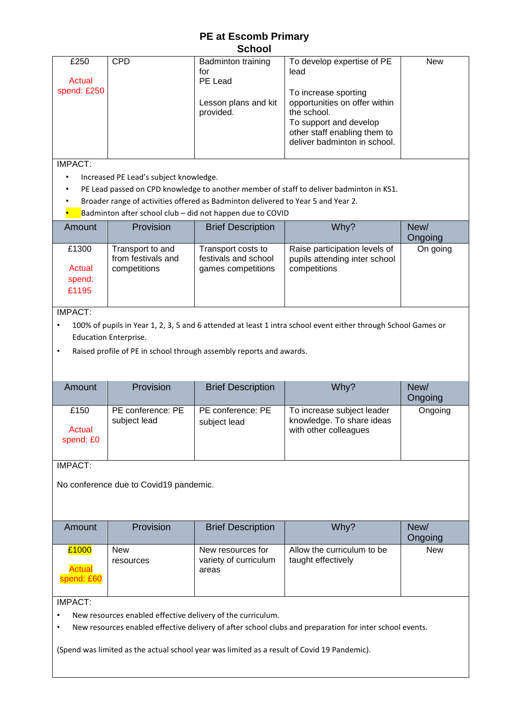|             |            | <b>S</b> GHOOL                    |                                                                                                                                                                |            |
|-------------|------------|-----------------------------------|----------------------------------------------------------------------------------------------------------------------------------------------------------------|------------|
| £250        | <b>CPD</b> | <b>Badminton training</b><br>for  | To develop expertise of PE<br>lead                                                                                                                             | <b>New</b> |
| Actual      |            | PE Lead                           |                                                                                                                                                                |            |
| spend: £250 |            | Lesson plans and kit<br>provided. | To increase sporting<br>opportunities on offer within<br>the school.<br>To support and develop<br>other staff enabling them to<br>deliver badminton in school. |            |

IMPACT:

- Increased PE Lead's subject knowledge.
- PE Lead passed on CPD knowledge to another member of staff to deliver badminton in KS1.
- Broader range of activities offered as Badminton delivered to Year 5 and Year 2.
- Badminton after school club  $-$  did not happen due to COVID

| Amount                             | Provision                                              | <b>Brief Description</b>                                         | Why?                                                                           | New/<br>Ongoing |
|------------------------------------|--------------------------------------------------------|------------------------------------------------------------------|--------------------------------------------------------------------------------|-----------------|
| £1300<br>Actual<br>spend:<br>£1195 | Transport to and<br>from festivals and<br>competitions | Transport costs to<br>festivals and school<br>games competitions | Raise participation levels of<br>pupils attending inter school<br>competitions | On going        |

#### IMPACT:

- 100% of pupils in Year 1, 2, 3, 5 and 6 attended at least 1 intra school event either through School Games or Education Enterprise.
- Raised profile of PE in school through assembly reports and awards.

| Amount                      | <b>Provision</b>                  | <b>Brief Description</b>          | Why?                                                                             | New/<br>Ongoing |
|-----------------------------|-----------------------------------|-----------------------------------|----------------------------------------------------------------------------------|-----------------|
| £150<br>Actual<br>spend: £0 | PE conference: PE<br>subject lead | PE conference: PE<br>subject lead | To increase subject leader<br>knowledge. To share ideas<br>with other colleagues | Ongoing         |

# IMPACT:

No conference due to Covid19 pandemic.

| Amount        | Provision  | <b>Brief Description</b>       | Why?                       | New/       |
|---------------|------------|--------------------------------|----------------------------|------------|
|               |            |                                |                            | Ongoing    |
| £1000         | <b>New</b> | New resources for              | Allow the curriculum to be | <b>New</b> |
| <b>Actual</b> | resources  | variety of curriculum<br>areas | taught effectively         |            |
| spend: £60    |            |                                |                            |            |
|               |            |                                |                            |            |

### IMPACT:

- New resources enabled effective delivery of the curriculum.
- New resources enabled effective delivery of after school clubs and preparation for inter school events.

(Spend was limited as the actual school year was limited as a result of Covid 19 Pandemic).